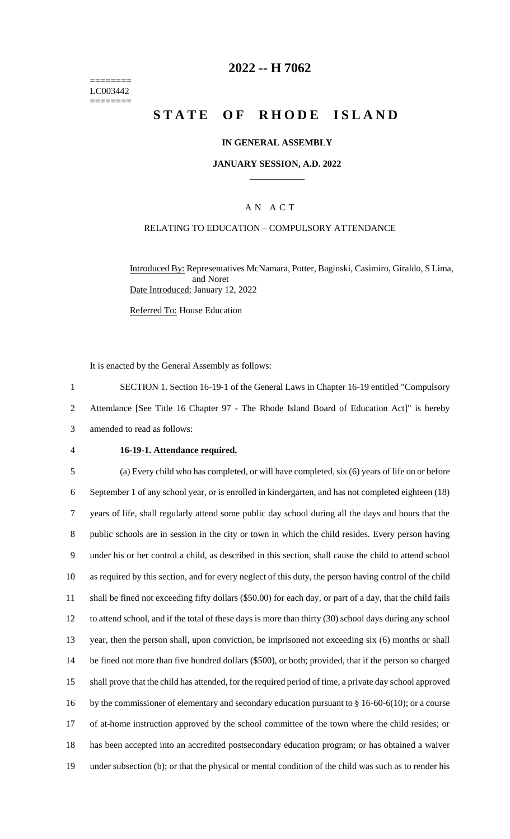======== LC003442 ========

## **2022 -- H 7062**

# **STATE OF RHODE ISLAND**

### **IN GENERAL ASSEMBLY**

#### **JANUARY SESSION, A.D. 2022 \_\_\_\_\_\_\_\_\_\_\_\_**

## A N A C T

### RELATING TO EDUCATION – COMPULSORY ATTENDANCE

Introduced By: Representatives McNamara, Potter, Baginski, Casimiro, Giraldo, S Lima, and Noret Date Introduced: January 12, 2022

Referred To: House Education

It is enacted by the General Assembly as follows:

1 SECTION 1. Section 16-19-1 of the General Laws in Chapter 16-19 entitled "Compulsory 2 Attendance [See Title 16 Chapter 97 - The Rhode Island Board of Education Act]" is hereby 3 amended to read as follows:

#### 4 **16-19-1. Attendance required.**

 (a) Every child who has completed, or will have completed, six (6) years of life on or before September 1 of any school year, or is enrolled in kindergarten, and has not completed eighteen (18) years of life, shall regularly attend some public day school during all the days and hours that the public schools are in session in the city or town in which the child resides. Every person having under his or her control a child, as described in this section, shall cause the child to attend school as required by this section, and for every neglect of this duty, the person having control of the child shall be fined not exceeding fifty dollars (\$50.00) for each day, or part of a day, that the child fails to attend school, and if the total of these days is more than thirty (30) school days during any school year, then the person shall, upon conviction, be imprisoned not exceeding six (6) months or shall be fined not more than five hundred dollars (\$500), or both; provided, that if the person so charged shall prove that the child has attended, for the required period of time, a private day school approved 16 by the commissioner of elementary and secondary education pursuant to § 16-60-6(10); or a course of at-home instruction approved by the school committee of the town where the child resides; or has been accepted into an accredited postsecondary education program; or has obtained a waiver under subsection (b); or that the physical or mental condition of the child was such as to render his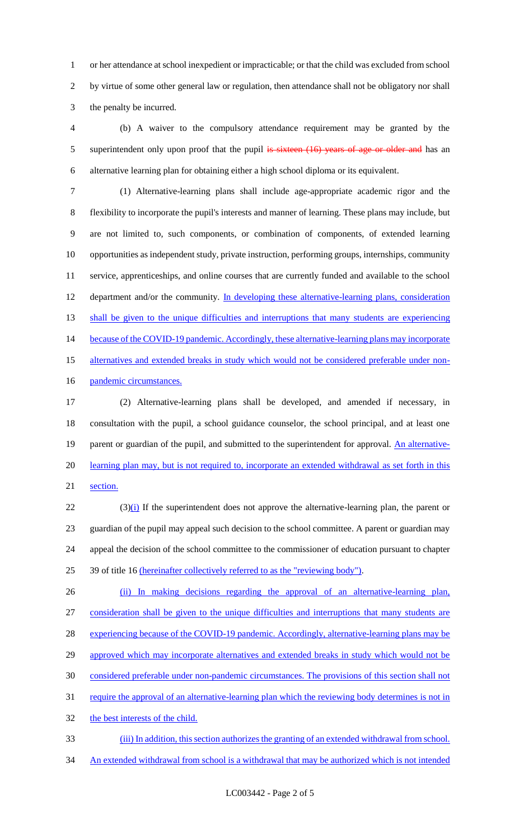1 or her attendance at school inexpedient or impracticable; or that the child was excluded from school 2 by virtue of some other general law or regulation, then attendance shall not be obligatory nor shall 3 the penalty be incurred.

4 (b) A waiver to the compulsory attendance requirement may be granted by the 5 superintendent only upon proof that the pupil is sixteen (16) years of age or older and has an 6 alternative learning plan for obtaining either a high school diploma or its equivalent.

7 (1) Alternative-learning plans shall include age-appropriate academic rigor and the 8 flexibility to incorporate the pupil's interests and manner of learning. These plans may include, but 9 are not limited to, such components, or combination of components, of extended learning 10 opportunities as independent study, private instruction, performing groups, internships, community 11 service, apprenticeships, and online courses that are currently funded and available to the school 12 department and/or the community. In developing these alternative-learning plans, consideration 13 shall be given to the unique difficulties and interruptions that many students are experiencing 14 because of the COVID-19 pandemic. Accordingly, these alternative-learning plans may incorporate 15 alternatives and extended breaks in study which would not be considered preferable under non-16 pandemic circumstances.

17 (2) Alternative-learning plans shall be developed, and amended if necessary, in 18 consultation with the pupil, a school guidance counselor, the school principal, and at least one 19 parent or guardian of the pupil, and submitted to the superintendent for approval. An alternative-20 learning plan may, but is not required to, incorporate an extended withdrawal as set forth in this 21 section.

 $(3)$ (i) If the superintendent does not approve the alternative-learning plan, the parent or guardian of the pupil may appeal such decision to the school committee. A parent or guardian may appeal the decision of the school committee to the commissioner of education pursuant to chapter 39 of title 16 (hereinafter collectively referred to as the "reviewing body").

26 (ii) In making decisions regarding the approval of an alternative-learning plan, 27 consideration shall be given to the unique difficulties and interruptions that many students are 28 experiencing because of the COVID-19 pandemic. Accordingly, alternative-learning plans may be 29 approved which may incorporate alternatives and extended breaks in study which would not be 30 considered preferable under non-pandemic circumstances. The provisions of this section shall not 31 require the approval of an alternative-learning plan which the reviewing body determines is not in 32 the best interests of the child. 33 (iii) In addition, this section authorizes the granting of an extended withdrawal from school.

34 An extended withdrawal from school is a withdrawal that may be authorized which is not intended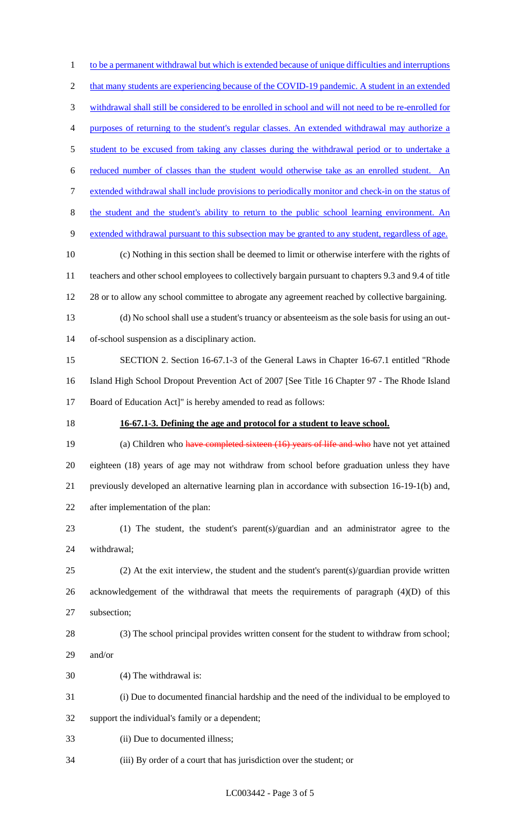1 to be a permanent withdrawal but which is extended because of unique difficulties and interruptions 2 that many students are experiencing because of the COVID-19 pandemic. A student in an extended withdrawal shall still be considered to be enrolled in school and will not need to be re-enrolled for purposes of returning to the student's regular classes. An extended withdrawal may authorize a 5 student to be excused from taking any classes during the withdrawal period or to undertake a reduced number of classes than the student would otherwise take as an enrolled student. An extended withdrawal shall include provisions to periodically monitor and check-in on the status of the student and the student's ability to return to the public school learning environment. An extended withdrawal pursuant to this subsection may be granted to any student, regardless of age. (c) Nothing in this section shall be deemed to limit or otherwise interfere with the rights of teachers and other school employees to collectively bargain pursuant to chapters 9.3 and 9.4 of title 12 28 or to allow any school committee to abrogate any agreement reached by collective bargaining. (d) No school shall use a student's truancy or absenteeism as the sole basis for using an out- of-school suspension as a disciplinary action. SECTION 2. Section 16-67.1-3 of the General Laws in Chapter 16-67.1 entitled "Rhode Island High School Dropout Prevention Act of 2007 [See Title 16 Chapter 97 - The Rhode Island Board of Education Act]" is hereby amended to read as follows: **16-67.1-3. Defining the age and protocol for a student to leave school.** 19 (a) Children who have completed sixteen (16) years of life and who have not yet attained eighteen (18) years of age may not withdraw from school before graduation unless they have previously developed an alternative learning plan in accordance with subsection 16-19-1(b) and, after implementation of the plan: (1) The student, the student's parent(s)/guardian and an administrator agree to the withdrawal; (2) At the exit interview, the student and the student's parent(s)/guardian provide written acknowledgement of the withdrawal that meets the requirements of paragraph (4)(D) of this subsection; (3) The school principal provides written consent for the student to withdraw from school; and/or (4) The withdrawal is: (i) Due to documented financial hardship and the need of the individual to be employed to support the individual's family or a dependent; (ii) Due to documented illness; (iii) By order of a court that has jurisdiction over the student; or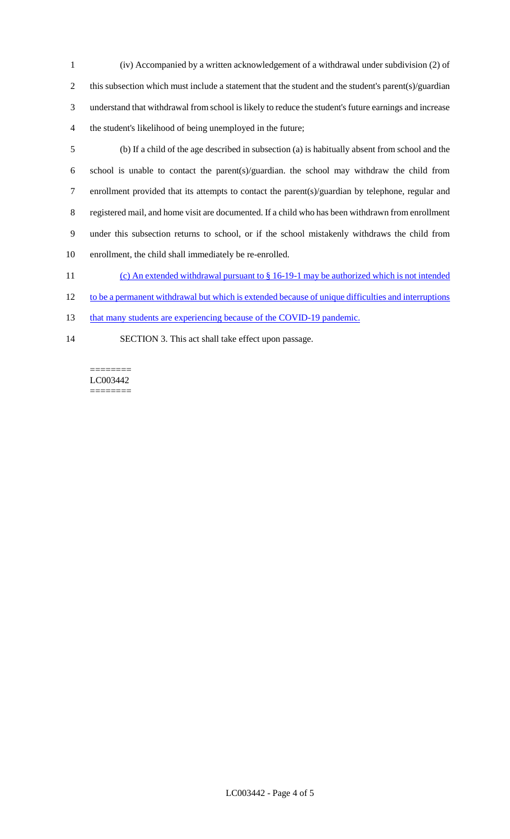- 1 (iv) Accompanied by a written acknowledgement of a withdrawal under subdivision (2) of 2 this subsection which must include a statement that the student and the student's parent(s)/guardian 3 understand that withdrawal from school is likely to reduce the student's future earnings and increase 4 the student's likelihood of being unemployed in the future;
- 5 (b) If a child of the age described in subsection (a) is habitually absent from school and the 6 school is unable to contact the parent(s)/guardian. the school may withdraw the child from 7 enrollment provided that its attempts to contact the parent(s)/guardian by telephone, regular and 8 registered mail, and home visit are documented. If a child who has been withdrawn from enrollment 9 under this subsection returns to school, or if the school mistakenly withdraws the child from 10 enrollment, the child shall immediately be re-enrolled.
- 11 (c) An extended withdrawal pursuant to § 16-19-1 may be authorized which is not intended
- 12 to be a permanent withdrawal but which is extended because of unique difficulties and interruptions
- 13 that many students are experiencing because of the COVID-19 pandemic.
- 14 SECTION 3. This act shall take effect upon passage.

======== LC003442 ========